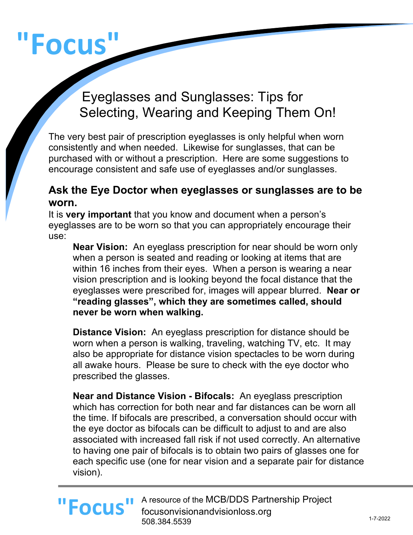# **"Focus"**

# Eyeglasses and Sunglasses: Tips for Selecting, Wearing and Keeping Them On!

The very best pair of prescription eyeglasses is only helpful when worn consistently and when needed. Likewise for sunglasses, that can be purchased with or without a prescription. Here are some suggestions to encourage consistent and safe use of eyeglasses and/or sunglasses.

#### **Ask the Eye Doctor when eyeglasses or sunglasses are to be worn.**

It is **very important** that you know and document when a person's eyeglasses are to be worn so that you can appropriately encourage their use:

**Near Vision:** An eyeglass prescription for near should be worn only when a person is seated and reading or looking at items that are within 16 inches from their eyes. When a person is wearing a near vision prescription and is looking beyond the focal distance that the eyeglasses were prescribed for, images will appear blurred. **Near or "reading glasses", which they are sometimes called, should never be worn when walking.**

**Distance Vision:** An eyeglass prescription for distance should be worn when a person is walking, traveling, watching TV, etc. It may also be appropriate for distance vision spectacles to be worn during all awake hours. Please be sure to check with the eye doctor who prescribed the glasses.

**Near and Distance Vision - Bifocals:** An eyeglass prescription which has correction for both near and far distances can be worn all the time. If bifocals are prescribed, a conversation should occur with the eye doctor as bifocals can be difficult to adjust to and are also associated with increased fall risk if not used correctly. An alternative to having one pair of bifocals is to obtain two pairs of glasses one for each specific use (one for near vision and a separate pair for distance vision).

#### A resource of the MCB/DDS Partnership Project focusonvisionandvisionloss.org 508.384.5539 **"Focus"**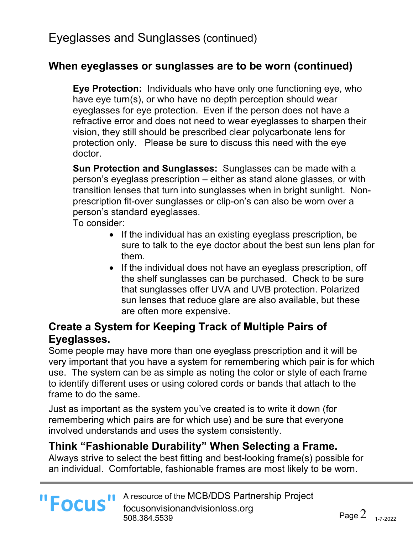## **When eyeglasses or sunglasses are to be worn (continued)**

**Eye Protection:** Individuals who have only one functioning eye, who have eye turn(s), or who have no depth perception should wear eyeglasses for eye protection. Even if the person does not have a refractive error and does not need to wear eyeglasses to sharpen their vision, they still should be prescribed clear polycarbonate lens for protection only. Please be sure to discuss this need with the eye doctor.

**Sun Protection and Sunglasses:** Sunglasses can be made with a person's eyeglass prescription – either as stand alone glasses, or with transition lenses that turn into sunglasses when in bright sunlight. Nonprescription fit-over sunglasses or clip-on's can also be worn over a person's standard eyeglasses.

To consider:

- If the individual has an existing eyeglass prescription, be sure to talk to the eye doctor about the best sun lens plan for them.
- If the individual does not have an eyeglass prescription, off the shelf sunglasses can be purchased. Check to be sure that sunglasses offer UVA and UVB protection. Polarized sun lenses that reduce glare are also available, but these are often more expensive.

# **Create a System for Keeping Track of Multiple Pairs of Eyeglasses.**

Some people may have more than one eyeglass prescription and it will be very important that you have a system for remembering which pair is for which use. The system can be as simple as noting the color or style of each frame to identify different uses or using colored cords or bands that attach to the frame to do the same.

Just as important as the system you've created is to write it down (for remembering which pairs are for which use) and be sure that everyone involved understands and uses the system consistently.

#### **Think "Fashionable Durability" When Selecting a Frame.**

Always strive to select the best fitting and best-looking frame(s) possible for an individual. Comfortable, fashionable frames are most likely to be worn.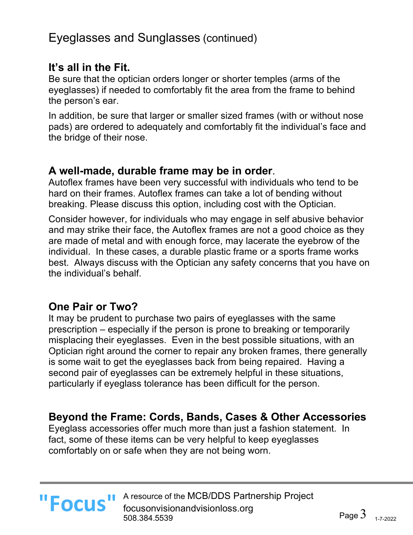# Eyeglasses and Sunglasses (continued)

## **It's all in the Fit.**

Be sure that the optician orders longer or shorter temples (arms of the eyeglasses) if needed to comfortably fit the area from the frame to behind the person's ear.

In addition, be sure that larger or smaller sized frames (with or without nose pads) are ordered to adequately and comfortably fit the individual's face and the bridge of their nose.

#### **A well-made, durable frame may be in order**.

Autoflex frames have been very successful with individuals who tend to be hard on their frames. Autoflex frames can take a lot of bending without breaking. Please discuss this option, including cost with the Optician.

Consider however, for individuals who may engage in self abusive behavior and may strike their face, the Autoflex frames are not a good choice as they are made of metal and with enough force, may lacerate the eyebrow of the individual. In these cases, a durable plastic frame or a sports frame works best. Always discuss with the Optician any safety concerns that you have on the individual's behalf.

## **One Pair or Two?**

It may be prudent to purchase two pairs of eyeglasses with the same prescription – especially if the person is prone to breaking or temporarily misplacing their eyeglasses. Even in the best possible situations, with an Optician right around the corner to repair any broken frames, there generally is some wait to get the eyeglasses back from being repaired. Having a second pair of eyeglasses can be extremely helpful in these situations, particularly if eyeglass tolerance has been difficult for the person.

# **Beyond the Frame: Cords, Bands, Cases & Other Accessories**

Eyeglass accessories offer much more than just a fashion statement. In fact, some of these items can be very helpful to keep eyeglasses comfortably on or safe when they are not being worn.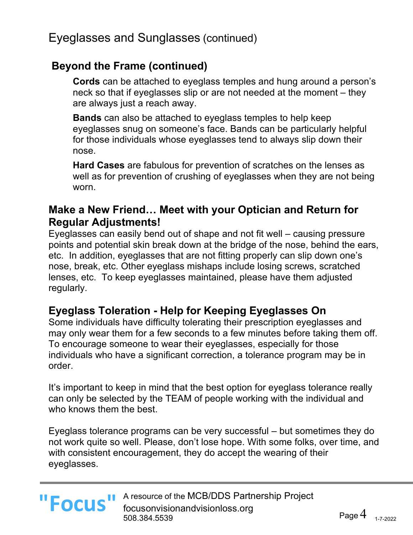# **Beyond the Frame (continued)**

**Cords** can be attached to eyeglass temples and hung around a person's neck so that if eyeglasses slip or are not needed at the moment – they are always just a reach away.

**Bands** can also be attached to eyeglass temples to help keep eyeglasses snug on someone's face. Bands can be particularly helpful for those individuals whose eyeglasses tend to always slip down their nose.

**Hard Cases** are fabulous for prevention of scratches on the lenses as well as for prevention of crushing of eyeglasses when they are not being worn.

## **Make a New Friend… Meet with your Optician and Return for Regular Adjustments!**

Eyeglasses can easily bend out of shape and not fit well – causing pressure points and potential skin break down at the bridge of the nose, behind the ears, etc. In addition, eyeglasses that are not fitting properly can slip down one's nose, break, etc. Other eyeglass mishaps include losing screws, scratched lenses, etc. To keep eyeglasses maintained, please have them adjusted regularly.

## **Eyeglass Toleration - Help for Keeping Eyeglasses On**

Some individuals have difficulty tolerating their prescription eyeglasses and may only wear them for a few seconds to a few minutes before taking them off. To encourage someone to wear their eyeglasses, especially for those individuals who have a significant correction, a tolerance program may be in order.

It's important to keep in mind that the best option for eyeglass tolerance really can only be selected by the TEAM of people working with the individual and who knows them the best.

Eyeglass tolerance programs can be very successful – but sometimes they do not work quite so well. Please, don't lose hope. With some folks, over time, and with consistent encouragement, they do accept the wearing of their eyeglasses.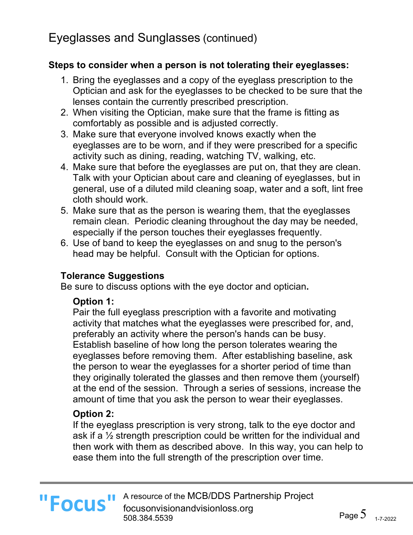# Eyeglasses and Sunglasses (continued)

#### **Steps to consider when a person is not tolerating their eyeglasses:**

- 1. Bring the eyeglasses and a copy of the eyeglass prescription to the Optician and ask for the eyeglasses to be checked to be sure that the lenses contain the currently prescribed prescription.
- 2. When visiting the Optician, make sure that the frame is fitting as comfortably as possible and is adjusted correctly.
- 3. Make sure that everyone involved knows exactly when the eyeglasses are to be worn, and if they were prescribed for a specific activity such as dining, reading, watching TV, walking, etc.
- 4. Make sure that before the eyeglasses are put on, that they are clean. Talk with your Optician about care and cleaning of eyeglasses, but in general, use of a diluted mild cleaning soap, water and a soft, lint free cloth should work.
- 5. Make sure that as the person is wearing them, that the eyeglasses remain clean. Periodic cleaning throughout the day may be needed, especially if the person touches their eyeglasses frequently.
- 6. Use of band to keep the eyeglasses on and snug to the person's head may be helpful. Consult with the Optician for options.

#### **Tolerance Suggestions**

Be sure to discuss options with the eye doctor and optician**.**

#### **Option 1:**

Pair the full eyeglass prescription with a favorite and motivating activity that matches what the eyeglasses were prescribed for, and, preferably an activity where the person's hands can be busy. Establish baseline of how long the person tolerates wearing the eyeglasses before removing them. After establishing baseline, ask the person to wear the eyeglasses for a shorter period of time than they originally tolerated the glasses and then remove them (yourself) at the end of the session. Through a series of sessions, increase the amount of time that you ask the person to wear their eyeglasses.

#### **Option 2:**

If the eyeglass prescription is very strong, talk to the eye doctor and ask if a ½ strength prescription could be written for the individual and then work with them as described above. In this way, you can help to ease them into the full strength of the prescription over time.